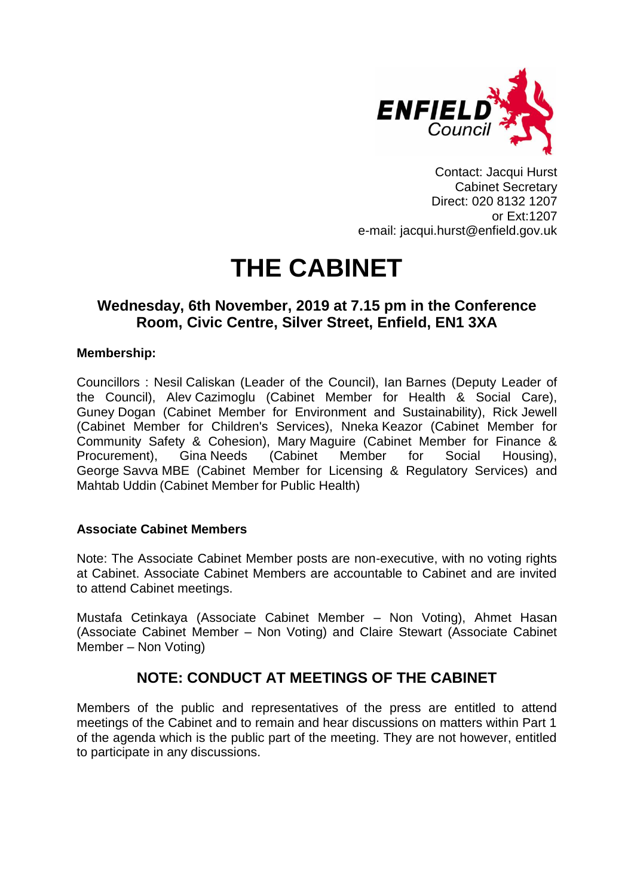

Contact: Jacqui Hurst Cabinet Secretary Direct: 020 8132 1207 or Ext:1207 e-mail: jacqui.hurst@enfield.gov.uk

# **THE CABINET**

# **Wednesday, 6th November, 2019 at 7.15 pm in the Conference Room, Civic Centre, Silver Street, Enfield, EN1 3XA**

# **Membership:**

Councillors : Nesil Caliskan (Leader of the Council), Ian Barnes (Deputy Leader of the Council), Alev Cazimoglu (Cabinet Member for Health & Social Care), Guney Dogan (Cabinet Member for Environment and Sustainability), Rick Jewell (Cabinet Member for Children's Services), Nneka Keazor (Cabinet Member for Community Safety & Cohesion), Mary Maguire (Cabinet Member for Finance & Procurement), Gina Needs (Cabinet Member for Social Housing), George Savva MBE (Cabinet Member for Licensing & Regulatory Services) and Mahtab Uddin (Cabinet Member for Public Health)

# **Associate Cabinet Members**

Note: The Associate Cabinet Member posts are non-executive, with no voting rights at Cabinet. Associate Cabinet Members are accountable to Cabinet and are invited to attend Cabinet meetings.

Mustafa Cetinkaya (Associate Cabinet Member – Non Voting), Ahmet Hasan (Associate Cabinet Member – Non Voting) and Claire Stewart (Associate Cabinet Member – Non Voting)

# **NOTE: CONDUCT AT MEETINGS OF THE CABINET**

Members of the public and representatives of the press are entitled to attend meetings of the Cabinet and to remain and hear discussions on matters within Part 1 of the agenda which is the public part of the meeting. They are not however, entitled to participate in any discussions.